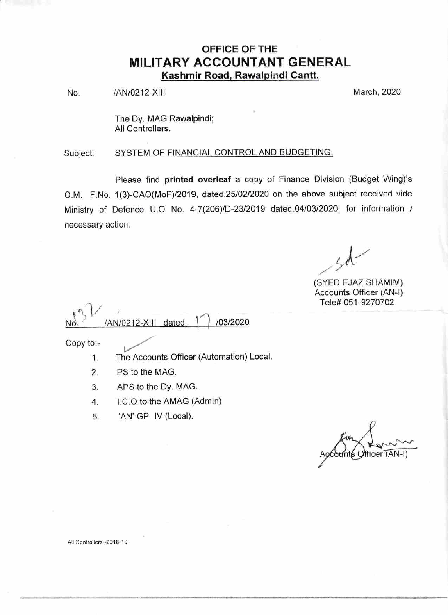# OFFICE OF THE MILITARY ACCOUNTANT GENERAL Kashmir Road, Rawalpindi Cantt.

No. /AN/0212-XIII 2020

The Dy. MAG Rawalpindi; All Controllers.

Subject: SYSTEM OF FINANCIAL CONTROL AND BUDGETING.

Please find printed overleaf a copy of Finance Division (Budget Wing)'s O.M. F.No. 1(3)-CAO(MoF)/2019, dated.25/02/2020 on the above subject received vide Ministry of Defence U.O No. 4-7(206)/D-23/2019 dated.04/03/2020, for information / necessary action.

)  $\mathcal{A}'$  $\overline{\phantom{a}}$ 

(SYED EJAZ SHAMIM) Accounts Officer (AN-l) Tele# 051-9270702

 $\sqrt{'}$ /03/2020 /AN/0212-XIII dated

Copy to:-

- 1. The Accounts Officer (Automation) Local
- 2. PS to the MAG.
- 3. APS to the Dy. MAG.
- 4. LC.O to the AMAG (Admin)
- 5. 'AN'GP- lV (Local).

≰ Officer (AN-I)

All Controllers -2018-19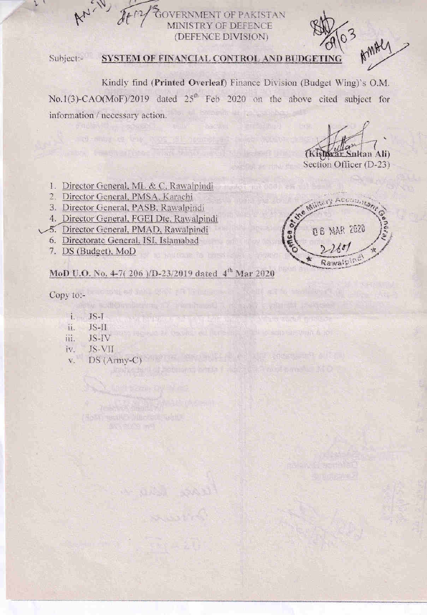**VERNMENT OF PAKISTAN TRY OF DEFENCE** (DEFENCE DIVISION)

Subject:-

## SYSTEM OF FINANCIAL CONTROL AND BUDGE

Kindly find (Printed Overleaf) Finance Division (Budget Wing)'s O.M. No.1(3)-CAO(MoF)/2019 dated 25<sup>th</sup> Feb 2020 on the above cited subject for information / necessary action.

Thish

AMAR

Section Officer (D-23)

- 1. Director General, ML & C, Rawalpindi
- 2. Director General, PMSA. Karachi
- 3. Director General, PASB, Rawalpindi
- 4. Director General, FGEI Dte, Rawalpindi
- 5. Director General, PMAD, Rawalpindi
- 6. Directorate General, ISI, Islamabad
- 7. DS (Budget), MoD

## MoD U.O. No. 4-7(206)/D-23/2019 dated 4<sup>th</sup> Mar 2020

Telesting to the North of St. common and show

Copy to:-

- i.  $JS-I$
- $JS-I1$ ii.
- JS-IV iii.
- JS-VII iv.
- DS (Army-C) and the contract of the contract of the contract of the contract of the contract of the contract of the contract of the contract of the contract of the contract of the contract of the contract of the contract o  $\bar{\mathbf{V}}$  . in the half of stellars with the sign in the mail of D